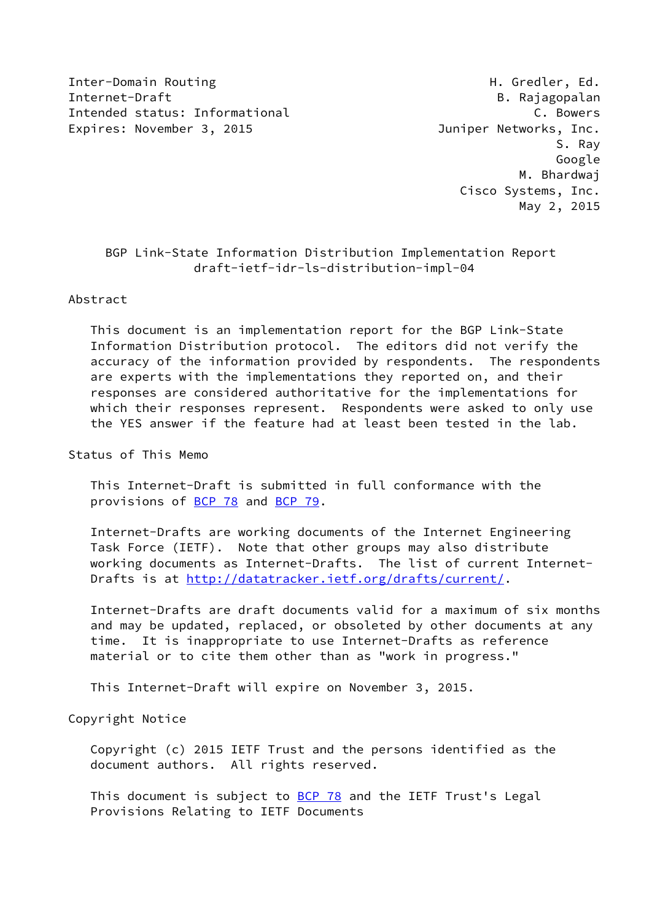Inter-Domain Routing The Communication of the Communication of the Communication of the Communication of the Co Internet-Draft B. Rajagopalan Intended status: Informational C. Bowers Expires: November 3, 2015 **Immagnet State State State State State State State State State State State State State State State State State State State State State State State State State State State State State State State** 

 S. Ray Google M. Bhardwaj Cisco Systems, Inc. May 2, 2015

#### BGP Link-State Information Distribution Implementation Report draft-ietf-idr-ls-distribution-impl-04

Abstract

 This document is an implementation report for the BGP Link-State Information Distribution protocol. The editors did not verify the accuracy of the information provided by respondents. The respondents are experts with the implementations they reported on, and their responses are considered authoritative for the implementations for which their responses represent. Respondents were asked to only use the YES answer if the feature had at least been tested in the lab.

Status of This Memo

 This Internet-Draft is submitted in full conformance with the provisions of [BCP 78](https://datatracker.ietf.org/doc/pdf/bcp78) and [BCP 79](https://datatracker.ietf.org/doc/pdf/bcp79).

 Internet-Drafts are working documents of the Internet Engineering Task Force (IETF). Note that other groups may also distribute working documents as Internet-Drafts. The list of current Internet Drafts is at<http://datatracker.ietf.org/drafts/current/>.

 Internet-Drafts are draft documents valid for a maximum of six months and may be updated, replaced, or obsoleted by other documents at any time. It is inappropriate to use Internet-Drafts as reference material or to cite them other than as "work in progress."

This Internet-Draft will expire on November 3, 2015.

Copyright Notice

 Copyright (c) 2015 IETF Trust and the persons identified as the document authors. All rights reserved.

This document is subject to **[BCP 78](https://datatracker.ietf.org/doc/pdf/bcp78)** and the IETF Trust's Legal Provisions Relating to IETF Documents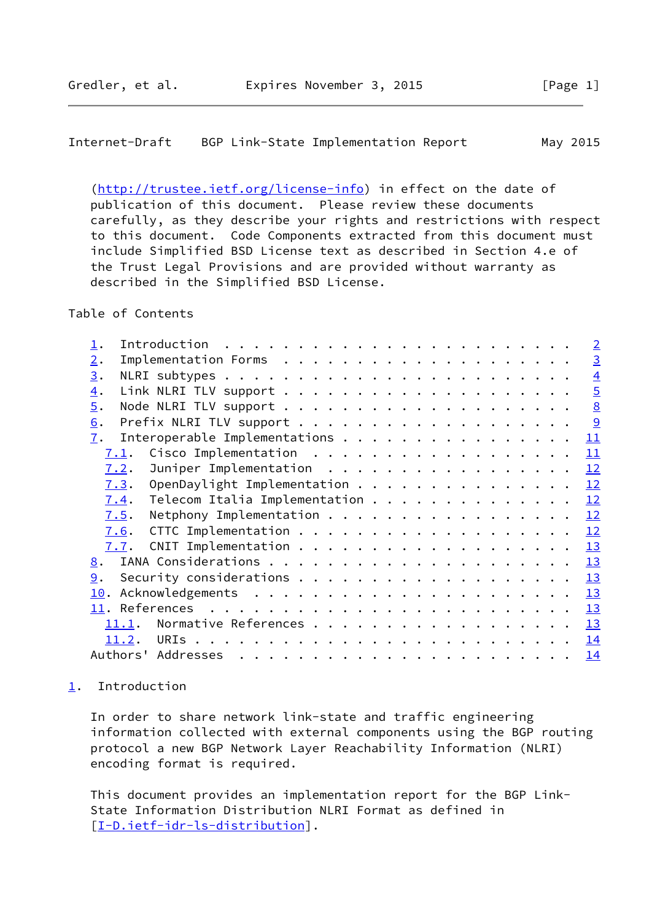<span id="page-1-1"></span>Internet-Draft BGP Link-State Implementation Report May 2015

 [\(http://trustee.ietf.org/license-info](http://trustee.ietf.org/license-info)) in effect on the date of publication of this document. Please review these documents carefully, as they describe your rights and restrictions with respect to this document. Code Components extracted from this document must include Simplified BSD License text as described in Section 4.e of the Trust Legal Provisions and are provided without warranty as described in the Simplified BSD License.

Table of Contents

|                |                               |  |  |  |  |  |  |  |  |  | $\overline{2}$ |
|----------------|-------------------------------|--|--|--|--|--|--|--|--|--|----------------|
| 2.             |                               |  |  |  |  |  |  |  |  |  | $\overline{3}$ |
| 3.             |                               |  |  |  |  |  |  |  |  |  | $\overline{4}$ |
| 4.             |                               |  |  |  |  |  |  |  |  |  | $\overline{5}$ |
| 5.             |                               |  |  |  |  |  |  |  |  |  | 8              |
| 6.             |                               |  |  |  |  |  |  |  |  |  | $\overline{9}$ |
| 7.             | Interoperable Implementations |  |  |  |  |  |  |  |  |  | 11             |
| 7.1.           | Cisco Implementation          |  |  |  |  |  |  |  |  |  | 11             |
| 7.2.           | Juniper Implementation        |  |  |  |  |  |  |  |  |  | 12             |
| 7.3.           | OpenDaylight Implementation   |  |  |  |  |  |  |  |  |  | 12             |
| 7.4.           | Telecom Italia Implementation |  |  |  |  |  |  |  |  |  | 12             |
| 7.5.           | Netphony Implementation       |  |  |  |  |  |  |  |  |  | 12             |
| 7.6.           |                               |  |  |  |  |  |  |  |  |  | 12             |
| 7.7.           |                               |  |  |  |  |  |  |  |  |  | 13             |
| 8.             |                               |  |  |  |  |  |  |  |  |  | 13             |
| 9.             |                               |  |  |  |  |  |  |  |  |  | 13             |
| 10.            |                               |  |  |  |  |  |  |  |  |  | 13             |
| 11. References |                               |  |  |  |  |  |  |  |  |  | 13             |
| 11.1.          | Normative References          |  |  |  |  |  |  |  |  |  | 13             |
| 11.2.          |                               |  |  |  |  |  |  |  |  |  | 14             |
|                |                               |  |  |  |  |  |  |  |  |  | 14             |
|                |                               |  |  |  |  |  |  |  |  |  |                |

### <span id="page-1-0"></span>[1](#page-1-0). Introduction

 In order to share network link-state and traffic engineering information collected with external components using the BGP routing protocol a new BGP Network Layer Reachability Information (NLRI) encoding format is required.

 This document provides an implementation report for the BGP Link- State Information Distribution NLRI Format as defined in [\[I-D.ietf-idr-ls-distribution](#page-14-6)].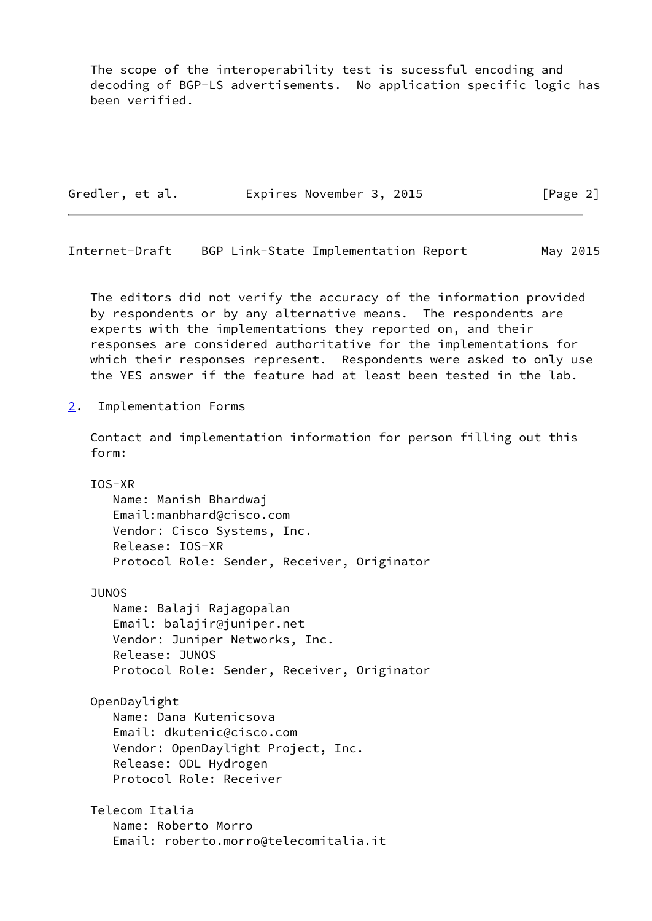The scope of the interoperability test is sucessful encoding and decoding of BGP-LS advertisements. No application specific logic has been verified.

| Gredler, et al. | Expires November 3, 2015 | [Page 2] |
|-----------------|--------------------------|----------|
|-----------------|--------------------------|----------|

<span id="page-2-1"></span>Internet-Draft BGP Link-State Implementation Report May 2015

 The editors did not verify the accuracy of the information provided by respondents or by any alternative means. The respondents are experts with the implementations they reported on, and their responses are considered authoritative for the implementations for which their responses represent. Respondents were asked to only use the YES answer if the feature had at least been tested in the lab.

<span id="page-2-0"></span>[2](#page-2-0). Implementation Forms

 Contact and implementation information for person filling out this form:

 IOS-XR Name: Manish Bhardwaj Email:manbhard@cisco.com Vendor: Cisco Systems, Inc. Release: IOS-XR Protocol Role: Sender, Receiver, Originator JUNOS Name: Balaji Rajagopalan Email: balajir@juniper.net Vendor: Juniper Networks, Inc. Release: JUNOS Protocol Role: Sender, Receiver, Originator OpenDaylight Name: Dana Kutenicsova Email: dkutenic@cisco.com Vendor: OpenDaylight Project, Inc. Release: ODL Hydrogen Protocol Role: Receiver Telecom Italia

 Name: Roberto Morro Email: roberto.morro@telecomitalia.it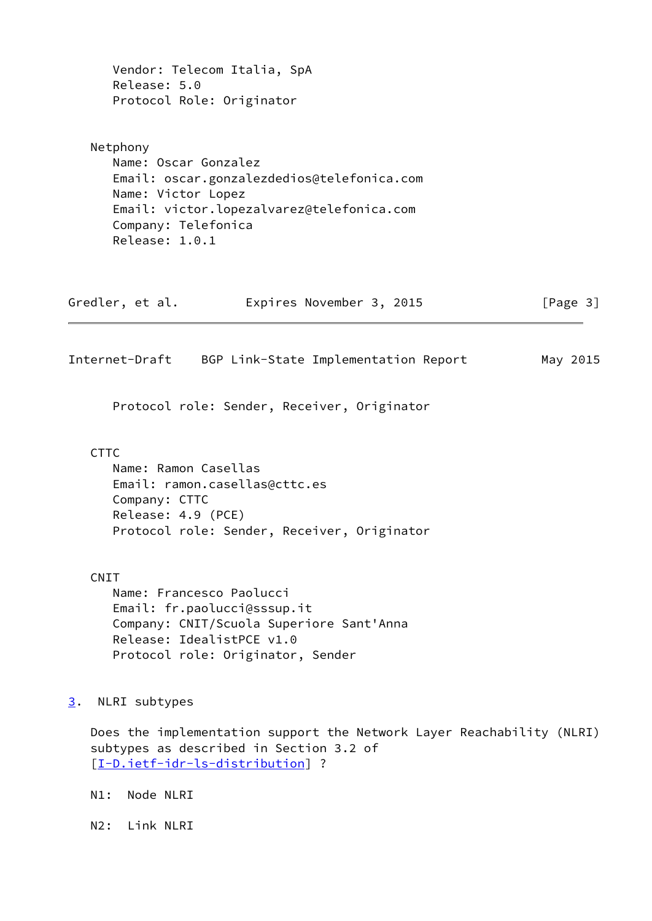<span id="page-3-1"></span> Vendor: Telecom Italia, SpA Release: 5.0 Protocol Role: Originator Netphony Name: Oscar Gonzalez Email: oscar.gonzalezdedios@telefonica.com Name: Victor Lopez Email: victor.lopezalvarez@telefonica.com Company: Telefonica Release: 1.0.1 Gredler, et al. Expires November 3, 2015 [Page 3] Internet-Draft BGP Link-State Implementation Report May 2015 Protocol role: Sender, Receiver, Originator **CTTC**  Name: Ramon Casellas Email: ramon.casellas@cttc.es Company: CTTC Release: 4.9 (PCE) Protocol role: Sender, Receiver, Originator CNIT Name: Francesco Paolucci Email: fr.paolucci@sssup.it Company: CNIT/Scuola Superiore Sant'Anna Release: IdealistPCE v1.0 Protocol role: Originator, Sender [3](#page-3-0). NLRI subtypes Does the implementation support the Network Layer Reachability (NLRI) subtypes as described in Section 3.2 of [\[I-D.ietf-idr-ls-distribution](#page-14-6)] ?

<span id="page-3-0"></span>N1: Node NLRI

N2: Link NLRI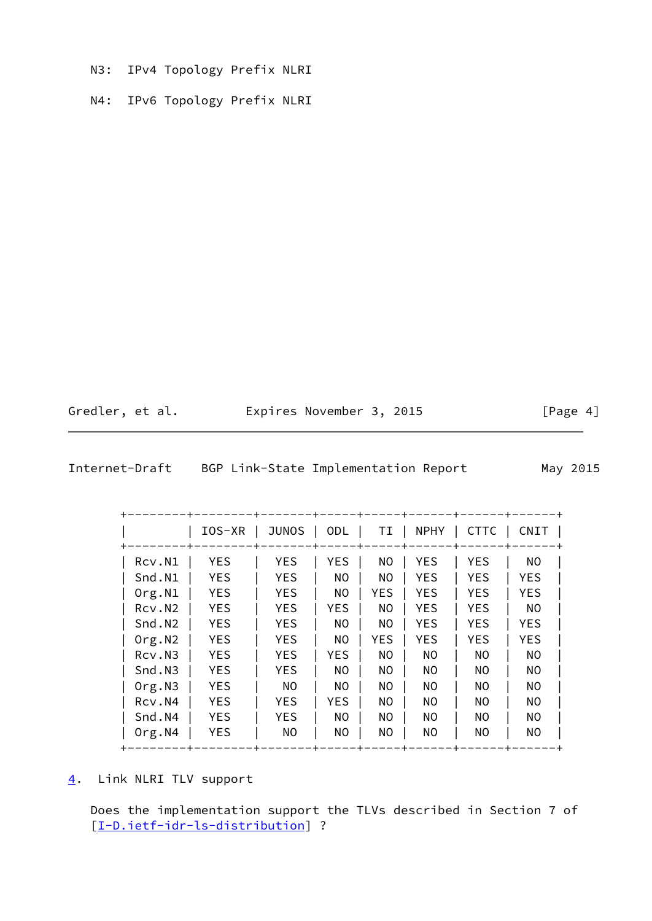- N3: IPv4 Topology Prefix NLRI
- N4: IPv6 Topology Prefix NLRI

| Gredler, et al. |  | Expires November 3, 2015 |  |  | [Page 4] |
|-----------------|--|--------------------------|--|--|----------|
|-----------------|--|--------------------------|--|--|----------|

<span id="page-4-1"></span>

| Internet-Draft |  | BGP Link-State Implementation Report | May |
|----------------|--|--------------------------------------|-----|
|----------------|--|--------------------------------------|-----|

| May | 2015 |
|-----|------|
|     |      |

|                    | $IOS-XR$   | <b>JUNOS</b>   | ODL        | TI             | <b>NPHY</b>    | <b>CTTC</b>    | CNIT           |
|--------------------|------------|----------------|------------|----------------|----------------|----------------|----------------|
| Rcv.N1             | <b>YES</b> | <b>YES</b>     | <b>YES</b> | NO             | <b>YES</b>     | YES            | NO.            |
| Snd.N1             | <b>YES</b> | <b>YES</b>     | <b>NO</b>  | N <sub>O</sub> | <b>YES</b>     | <b>YES</b>     | <b>YES</b>     |
| Org.N1             | <b>YES</b> | <b>YES</b>     | NO.        | <b>YES</b>     | <b>YES</b>     | <b>YES</b>     | <b>YES</b>     |
| Rcv.N2             | <b>YES</b> | <b>YES</b>     | <b>YES</b> | N <sub>O</sub> | <b>YES</b>     | <b>YES</b>     | <b>NO</b>      |
| Snd.N <sub>2</sub> | <b>YES</b> | <b>YES</b>     | NO.        | N <sub>O</sub> | <b>YES</b>     | <b>YES</b>     | <b>YES</b>     |
| Org.N2             | <b>YES</b> | <b>YES</b>     | <b>NO</b>  | <b>YES</b>     | <b>YES</b>     | <b>YES</b>     | <b>YES</b>     |
| Rcv.N3             | <b>YES</b> | <b>YES</b>     | YES.       | N <sub>O</sub> | N <sub>O</sub> | N <sub>O</sub> | <b>NO</b>      |
| Snd.N3             | <b>YES</b> | <b>YES</b>     | <b>NO</b>  | NO             | NO.            | NO.            | NO.            |
| Org.N3             | <b>YES</b> | NO.            | NO.        | NO             | NO.            | NO.            | NO.            |
| Rcv.N4             | <b>YES</b> | <b>YES</b>     | <b>YES</b> | N <sub>O</sub> | NO.            | NO.            | N <sub>O</sub> |
| Snd.N4             | <b>YES</b> | <b>YES</b>     | <b>NO</b>  | NO.            | NO.            | NO.            | NO.            |
| Org.N4             | <b>YES</b> | N <sub>O</sub> | <b>NO</b>  | NO             | NO.            | N <sub>O</sub> | N <sub>O</sub> |

<span id="page-4-0"></span>[4](#page-4-0). Link NLRI TLV support

 Does the implementation support the TLVs described in Section 7 of [\[I-D.ietf-idr-ls-distribution](#page-14-6)] ?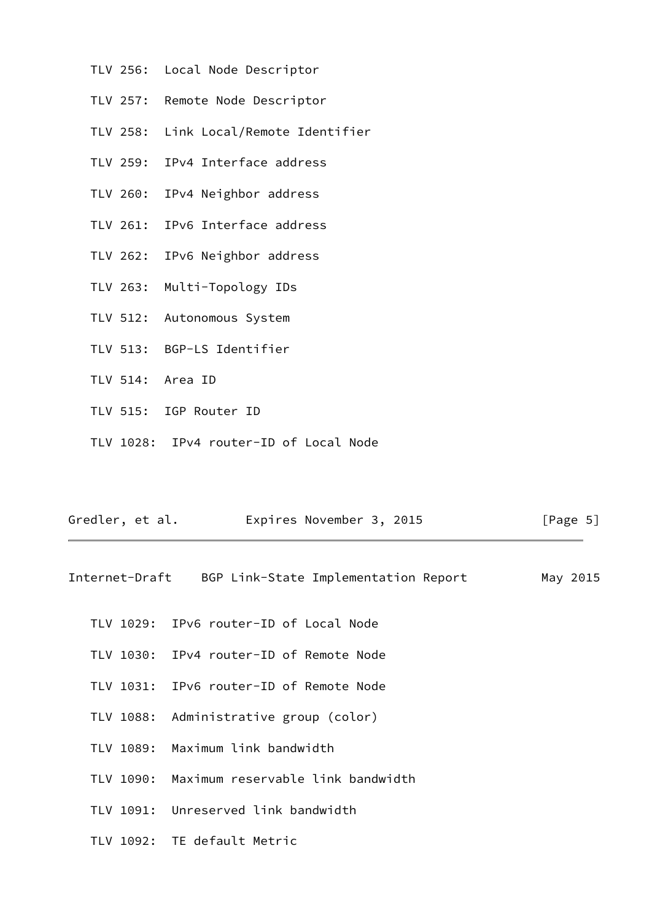- TLV 256: Local Node Descriptor
- TLV 257: Remote Node Descriptor
- TLV 258: Link Local/Remote Identifier
- TLV 259: IPv4 Interface address
- TLV 260: IPv4 Neighbor address
- TLV 261: IPv6 Interface address
- TLV 262: IPv6 Neighbor address
- TLV 263: Multi-Topology IDs
- TLV 512: Autonomous System
- TLV 513: BGP-LS Identifier
- TLV 514: Area ID
- TLV 515: IGP Router ID
- TLV 1028: IPv4 router-ID of Local Node

| Gredler, et al. |  | Expires November 3, 2015 |  | [Page 5] |  |
|-----------------|--|--------------------------|--|----------|--|
|                 |  |                          |  |          |  |

Internet-Draft BGP Link-State Implementation Report May 2015

- TLV 1029: IPv6 router-ID of Local Node
- TLV 1030: IPv4 router-ID of Remote Node
- TLV 1031: IPv6 router-ID of Remote Node
- TLV 1088: Administrative group (color)
- TLV 1089: Maximum link bandwidth
- TLV 1090: Maximum reservable link bandwidth
- TLV 1091: Unreserved link bandwidth
- TLV 1092: TE default Metric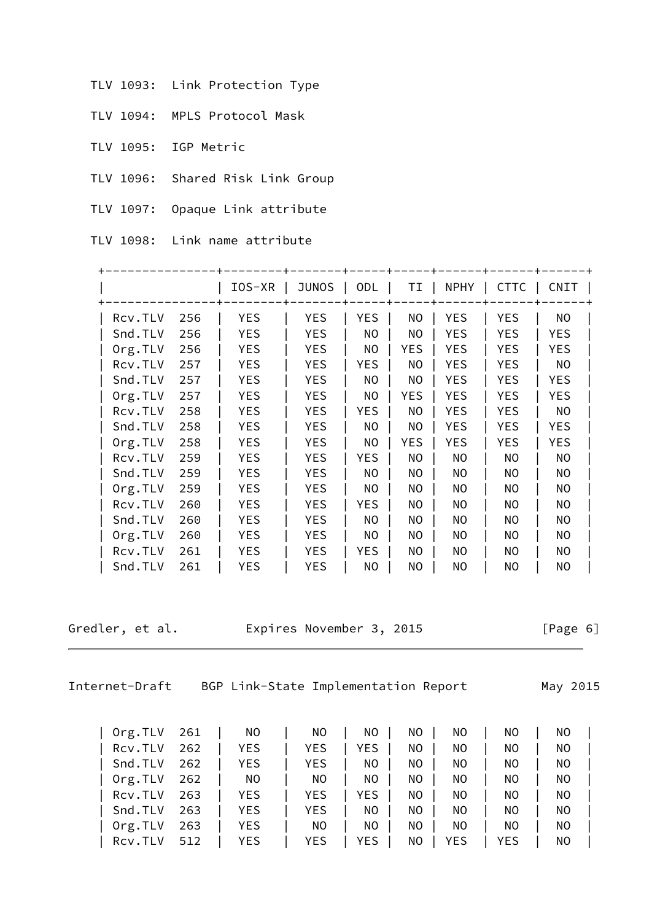- TLV 1093: Link Protection Type
- TLV 1094: MPLS Protocol Mask
- TLV 1095: IGP Metric
- TLV 1096: Shared Risk Link Group
- TLV 1097: Opaque Link attribute
- TLV 1098: Link name attribute

|         |     | IOS-XR     | JUNOS      | $ $ ODL $ $    | TI         | <b>NPHY</b> | <b>CTTC</b> | CNIT       |  |
|---------|-----|------------|------------|----------------|------------|-------------|-------------|------------|--|
| Rcv.TLV | 256 | YES.       | <b>YES</b> | <b>YES</b>     | NO.        | <b>YES</b>  | <b>YES</b>  | NO.        |  |
| Snd.TLV | 256 | <b>YES</b> | <b>YES</b> | NO.            | NO.        | <b>YES</b>  | <b>YES</b>  | <b>YES</b> |  |
| Org.TLV | 256 | <b>YES</b> | <b>YES</b> | NO.            | <b>YES</b> | <b>YES</b>  | <b>YES</b>  | <b>YES</b> |  |
| Rcv.TLV | 257 | YES.       | <b>YES</b> | <b>YES</b>     | NO.        | <b>YES</b>  | <b>YES</b>  | <b>NO</b>  |  |
| Snd.TLV | 257 | <b>YES</b> | <b>YES</b> | NO.            | NO         | <b>YES</b>  | <b>YES</b>  | <b>YES</b> |  |
| Org.TLV | 257 | <b>YES</b> | <b>YES</b> | N <sub>O</sub> | <b>YES</b> | <b>YES</b>  | <b>YES</b>  | <b>YES</b> |  |
| Rcv.TLV | 258 | <b>YES</b> | <b>YES</b> | YES            | NO         | <b>YES</b>  | <b>YES</b>  | NO.        |  |
| Snd.TLV | 258 | <b>YES</b> | <b>YES</b> | NO.            | NO         | <b>YES</b>  | <b>YES</b>  | <b>YES</b> |  |
| Org.TLV | 258 | <b>YES</b> | <b>YES</b> | NO.            | <b>YES</b> | <b>YES</b>  | <b>YES</b>  | <b>YES</b> |  |
| Rcv.TLV | 259 | <b>YES</b> | <b>YES</b> | YES.           | NO.        | NO.         | NO.         | NO.        |  |
| Snd.TLV | 259 | <b>YES</b> | <b>YES</b> | NO.            | NO         | NO.         | NO.         | NO.        |  |
| Org.TLV | 259 | <b>YES</b> | <b>YES</b> | NO.            | NO         | NO          | NO          | NO         |  |
| Rcv.TLV | 260 | <b>YES</b> | <b>YES</b> | <b>YES</b>     | NO.        | NO.         | NO.         | NO.        |  |
| Snd.TLV | 260 | <b>YES</b> | <b>YES</b> | NO.            | NO         | NO          | NO          | NO         |  |
| Org.TLV | 260 | <b>YES</b> | <b>YES</b> | <b>NO</b>      | NO         | NO          | NO.         | NO         |  |
| Rcv.TLV | 261 | <b>YES</b> | <b>YES</b> | <b>YES</b>     | NO         | NO.         | NO.         | NO         |  |
| Snd.TLV | 261 | <b>YES</b> | <b>YES</b> | NO.            | NO         | NO          | NO          | NO         |  |

Gredler, et al. Expires November 3, 2015 [Page 6]

Internet-Draft BGP Link-State Implementation Report May 2015

| Org.TLV 261 |     | NO.        | NO.        | NO . | NO. | NO. | NO. | NO. |  |
|-------------|-----|------------|------------|------|-----|-----|-----|-----|--|
| Rcv.TLV     | 262 | <b>YES</b> | YES.       | YES  | NO. | NO. | NO. | NO. |  |
| Snd.TLV 262 |     | <b>YES</b> | YES.       | NO   | NO  | NO. | NO. | NO. |  |
| Org.TLV 262 |     | NO.        | NO.        | NO   | NO  | NO. | NO. | NO. |  |
| Rcv.TLV 263 |     | YES.       | <b>YES</b> | YES  | NO  | NO. | NO. | NO. |  |
| Snd.TLV 263 |     | YES        | YES.       | NO . | NO. | NO. | NO. | NO. |  |
| Org.TLV 263 |     | <b>YES</b> | NO.        | NO.  | NO. | NO. | NO. | NO. |  |
| Rcv.TLV     | 512 | YES        | YES.       | YES  | NO. | YES | YES | ΝO  |  |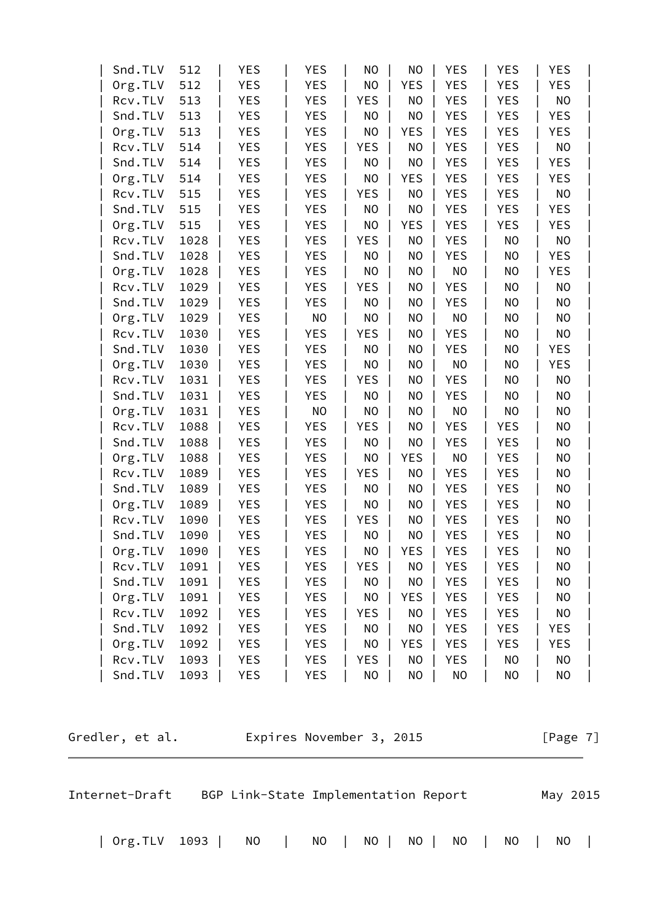| Snd.TLV | 512  | <b>YES</b> | <b>YES</b>     | NO             | NO             | <b>YES</b> | <b>YES</b>     | <b>YES</b>     |  |
|---------|------|------------|----------------|----------------|----------------|------------|----------------|----------------|--|
| Org.TLV | 512  | <b>YES</b> | <b>YES</b>     | <b>NO</b>      | <b>YES</b>     | <b>YES</b> | YES            | <b>YES</b>     |  |
| Rcv.TLV | 513  | <b>YES</b> | <b>YES</b>     | <b>YES</b>     | NO             | <b>YES</b> | <b>YES</b>     | N <sub>O</sub> |  |
| Snd.TLV | 513  | <b>YES</b> | <b>YES</b>     | <b>NO</b>      | <b>NO</b>      | <b>YES</b> | <b>YES</b>     | <b>YES</b>     |  |
| Org.TLV | 513  | <b>YES</b> | <b>YES</b>     | NO             | <b>YES</b>     | <b>YES</b> | YES            | <b>YES</b>     |  |
| Rcv.TLV | 514  | <b>YES</b> | <b>YES</b>     | <b>YES</b>     | <b>NO</b>      | <b>YES</b> | <b>YES</b>     | N <sub>O</sub> |  |
| Snd.TLV | 514  | <b>YES</b> | <b>YES</b>     | N <sub>O</sub> | NO             | YES        | <b>YES</b>     | <b>YES</b>     |  |
| Org.TLV | 514  | <b>YES</b> | <b>YES</b>     | <b>NO</b>      | <b>YES</b>     | <b>YES</b> | YES            | <b>YES</b>     |  |
| Rcv.TLV | 515  | <b>YES</b> | <b>YES</b>     | <b>YES</b>     | <b>NO</b>      | <b>YES</b> | <b>YES</b>     | N <sub>O</sub> |  |
| Snd.TLV | 515  | <b>YES</b> | <b>YES</b>     | <b>NO</b>      | NO             | <b>YES</b> | YES            | <b>YES</b>     |  |
| Org.TLV | 515  | <b>YES</b> | <b>YES</b>     | <b>NO</b>      | <b>YES</b>     | <b>YES</b> | <b>YES</b>     | <b>YES</b>     |  |
| Rcv.TLV | 1028 | <b>YES</b> | <b>YES</b>     | <b>YES</b>     | N <sub>O</sub> | <b>YES</b> | N <sub>O</sub> | N <sub>O</sub> |  |
| Snd.TLV | 1028 | <b>YES</b> | <b>YES</b>     | <b>NO</b>      | NO             | <b>YES</b> | <b>NO</b>      | <b>YES</b>     |  |
| Org.TLV | 1028 | <b>YES</b> | <b>YES</b>     | NO             | NO             | NO         | <b>NO</b>      | <b>YES</b>     |  |
| Rcv.TLV | 1029 | <b>YES</b> | <b>YES</b>     | <b>YES</b>     | NO             | <b>YES</b> | <b>NO</b>      | NO             |  |
| Snd.TLV | 1029 | <b>YES</b> | <b>YES</b>     | <b>NO</b>      | NO             | <b>YES</b> | NO             | N <sub>O</sub> |  |
| Org.TLV | 1029 | <b>YES</b> | N <sub>O</sub> | <b>NO</b>      | <b>NO</b>      | NO         | <b>NO</b>      | N <sub>O</sub> |  |
| Rcv.TLV | 1030 | YES        | YES            | <b>YES</b>     | NO             | YES        | NO             | NO             |  |
| Snd.TLV | 1030 | <b>YES</b> | <b>YES</b>     | <b>NO</b>      | NO             | <b>YES</b> | NO             | <b>YES</b>     |  |
| Org.TLV | 1030 | <b>YES</b> | <b>YES</b>     | <b>NO</b>      | <b>NO</b>      | NO         | <b>NO</b>      | <b>YES</b>     |  |
| Rcv.TLV | 1031 | <b>YES</b> | YES            | <b>YES</b>     | NO             | <b>YES</b> | NO             | N <sub>O</sub> |  |
| Snd.TLV | 1031 | <b>YES</b> | <b>YES</b>     | <b>NO</b>      | NO             | <b>YES</b> | <b>NO</b>      | N <sub>O</sub> |  |
| Org.TLV | 1031 | <b>YES</b> | NO             | N <sub>O</sub> | <b>NO</b>      | NO         | NO             | NO             |  |
| Rcv.TLV | 1088 | <b>YES</b> | <b>YES</b>     | <b>YES</b>     | NO             | YES        | YES            | NO             |  |
| Snd.TLV | 1088 | <b>YES</b> | <b>YES</b>     | NO             | NO             | <b>YES</b> | YES            | N <sub>O</sub> |  |
| Org.TLV | 1088 | <b>YES</b> | <b>YES</b>     | <b>NO</b>      | YES            | NO         | <b>YES</b>     | NO             |  |
| Rcv.TLV | 1089 | <b>YES</b> | YES            | <b>YES</b>     | NO             | <b>YES</b> | YES            | N <sub>O</sub> |  |
| Snd.TLV | 1089 | <b>YES</b> | <b>YES</b>     | <b>NO</b>      | <b>NO</b>      | <b>YES</b> | <b>YES</b>     | N <sub>O</sub> |  |
| Org.TLV | 1089 | YES        | YES            | <b>NO</b>      | NO             | YES        | YES            | NO             |  |
| Rcv.TLV | 1090 | YES        | <b>YES</b>     | <b>YES</b>     | NO             | <b>YES</b> | YES            | NO             |  |
| Snd.TLV | 1090 | <b>YES</b> | <b>YES</b>     | <b>NO</b>      | <b>NO</b>      | <b>YES</b> | <b>YES</b>     | NO             |  |
| Org.TLV | 1090 | <b>YES</b> | <b>YES</b>     | NO             | YES            | <b>YES</b> | YES            | NO             |  |
| Rcv.TLV | 1091 | <b>YES</b> | YES            | <b>YES</b>     | NO             | YES        | YES            | NO             |  |
| Snd.TLV | 1091 | <b>YES</b> | <b>YES</b>     | NO             | NO             | YES        | YES            | NO             |  |
| Org.TLV | 1091 | YES        | YES            | NO             | YES            | YES        | YES            | NO             |  |
| Rcv.TLV | 1092 | YES        | <b>YES</b>     | YES            | NO             | <b>YES</b> | YES            | N <sub>O</sub> |  |
| Snd.TLV | 1092 | <b>YES</b> | YES            | NO             | NO             | YES        | YES            | <b>YES</b>     |  |
| Org.TLV | 1092 | <b>YES</b> | <b>YES</b>     | NO             | YES            | <b>YES</b> | YES            | <b>YES</b>     |  |
| Rcv.TLV | 1093 | <b>YES</b> | <b>YES</b>     | <b>YES</b>     | NO             | YES        | <b>NO</b>      | NO             |  |
| Snd.TLV | 1093 | <b>YES</b> | YES            | NO             | NO             | NO         | NO             | NO             |  |
|         |      |            |                |                |                |            |                |                |  |

Gredler, et al. Expires November 3, 2015 [Page 7]

<span id="page-7-0"></span>Internet-Draft BGP Link-State Implementation Report May 2015 | Org.TLV 1093 | NO | NO | NO | NO | NO | NO | NO |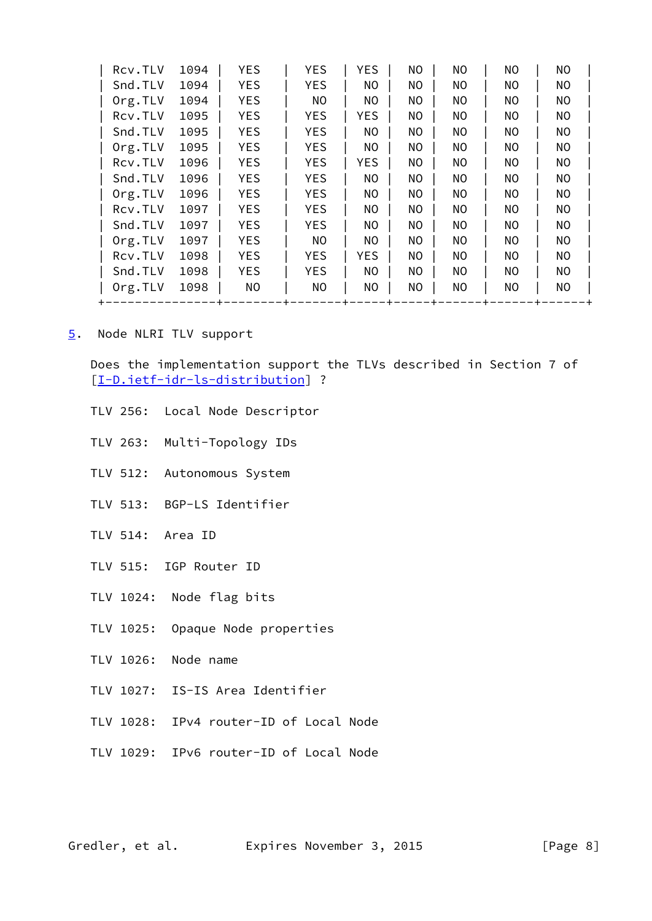| Rcv.TLV | 1094 | <b>YES</b> | <b>YES</b>     | <b>YES</b> | <b>NO</b> | ΝO        | NO.            | <b>NO</b> |  |
|---------|------|------------|----------------|------------|-----------|-----------|----------------|-----------|--|
| Snd.TLV | 1094 | <b>YES</b> | <b>YES</b>     | <b>NO</b>  | <b>NO</b> | <b>NO</b> | NO.            | <b>NO</b> |  |
| Org.TLV | 1094 | <b>YES</b> | N <sub>O</sub> | NO.        | NO        | NO        | NO.            | NO.       |  |
| Rcv.TLV | 1095 | <b>YES</b> | <b>YES</b>     | <b>YES</b> | <b>NO</b> | <b>NO</b> | NO.            | <b>NO</b> |  |
| Snd.TLV | 1095 | <b>YES</b> | <b>YES</b>     | NO.        | NO.       | <b>NO</b> | NO.            | NO.       |  |
| Org.TLV | 1095 | <b>YES</b> | <b>YES</b>     | NO.        | <b>NO</b> | NO        | NO.            | NO.       |  |
| Rcv.TLV | 1096 | <b>YES</b> | <b>YES</b>     | <b>YES</b> | <b>NO</b> | NO        | NO.            | <b>NO</b> |  |
| Snd.TLV | 1096 | <b>YES</b> | <b>YES</b>     | NO.        | <b>NO</b> | <b>NO</b> | NO.            | NO.       |  |
| Org.TLV | 1096 | <b>YES</b> | <b>YES</b>     | NO.        | NO.       | NO        | NO.            | NO.       |  |
| Rcv.TLV | 1097 | <b>YES</b> | <b>YES</b>     | NO.        | <b>NO</b> | <b>NO</b> | N <sub>O</sub> | <b>NO</b> |  |
| Snd.TLV | 1097 | <b>YES</b> | <b>YES</b>     | NO.        | NO.       | <b>NO</b> | NO.            | NO.       |  |
| Org.TLV | 1097 | <b>YES</b> | <b>NO</b>      | <b>NO</b>  | NO.       | <b>NO</b> | <b>NO</b>      | <b>NO</b> |  |
| Rcv.TLV | 1098 | <b>YES</b> | <b>YES</b>     | <b>YES</b> | <b>NO</b> | <b>NO</b> | NO.            | NO.       |  |
| Snd.TLV | 1098 | <b>YES</b> | <b>YES</b>     | NO.        | <b>NO</b> | <b>NO</b> | NO.            | NO.       |  |
| Org.TLV | 1098 | NO.        | <b>NO</b>      | NO.        | <b>NO</b> | <b>NO</b> | N <sub>O</sub> | NO.       |  |
|         |      |            |                |            |           |           |                |           |  |

<span id="page-8-0"></span>[5](#page-8-0). Node NLRI TLV support

 Does the implementation support the TLVs described in Section 7 of [\[I-D.ietf-idr-ls-distribution](#page-14-6)] ?

- TLV 256: Local Node Descriptor
- TLV 263: Multi-Topology IDs
- TLV 512: Autonomous System
- TLV 513: BGP-LS Identifier
- TLV 514: Area ID
- TLV 515: IGP Router ID
- TLV 1024: Node flag bits
- TLV 1025: Opaque Node properties
- TLV 1026: Node name
- TLV 1027: IS-IS Area Identifier
- TLV 1028: IPv4 router-ID of Local Node
- TLV 1029: IPv6 router-ID of Local Node

Gredler, et al. Expires November 3, 2015 [Page 8]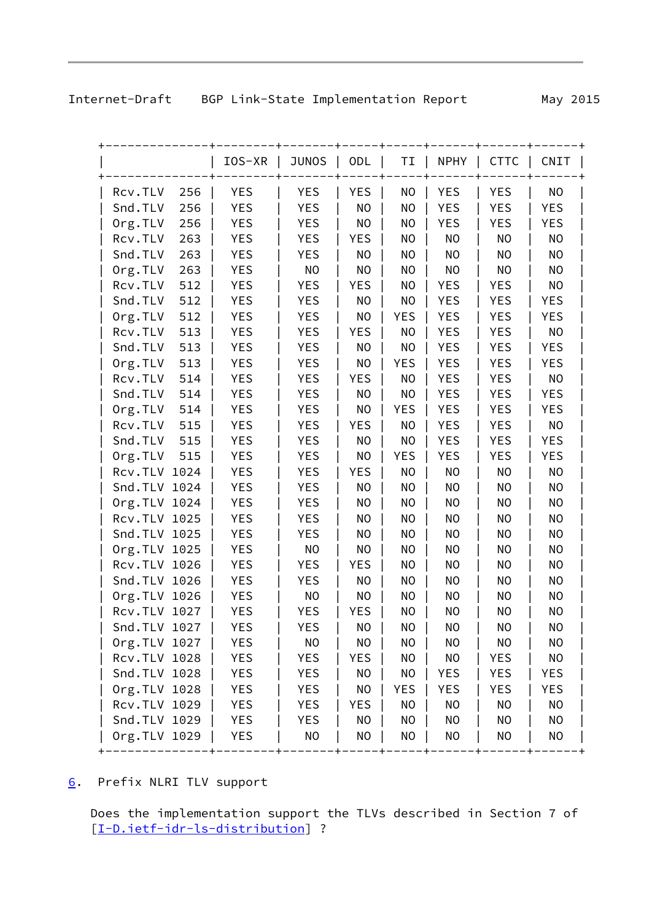|  | May | 2015 |
|--|-----|------|
|--|-----|------|

<span id="page-9-1"></span>

|              |     | IOS-XR     | <b>JUNOS</b> | ODL            | ΤI             | <b>NPHY</b>    | <b>CTTC</b>    | CNIT       |
|--------------|-----|------------|--------------|----------------|----------------|----------------|----------------|------------|
| Rcv.TLV      | 256 | <b>YES</b> | <b>YES</b>   | <b>YES</b>     | NO             | YES            | <b>YES</b>     | NO         |
| Snd.TLV      | 256 | <b>YES</b> | <b>YES</b>   | N <sub>O</sub> | N <sub>O</sub> | <b>YES</b>     | <b>YES</b>     | <b>YES</b> |
| Org.TLV      | 256 | <b>YES</b> | <b>YES</b>   | N <sub>O</sub> | <b>NO</b>      | <b>YES</b>     | <b>YES</b>     | <b>YES</b> |
| Rcv.TLV      | 263 | <b>YES</b> | <b>YES</b>   | <b>YES</b>     | <b>NO</b>      | N <sub>O</sub> | NO             | NO         |
| Snd.TLV      | 263 | <b>YES</b> | <b>YES</b>   | NO             | N <sub>O</sub> | N <sub>O</sub> | N <sub>O</sub> | NO         |
| Org.TLV      | 263 | <b>YES</b> | <b>NO</b>    | N <sub>O</sub> | <b>NO</b>      | N <sub>O</sub> | NO             | NO         |
| Rcv.TLV      | 512 | <b>YES</b> | <b>YES</b>   | <b>YES</b>     | <b>NO</b>      | <b>YES</b>     | <b>YES</b>     | NO         |
| Snd.TLV      | 512 | <b>YES</b> | <b>YES</b>   | NO             | N <sub>O</sub> | YES            | YES            | YES        |
| Org.TLV      | 512 | <b>YES</b> | <b>YES</b>   | <b>NO</b>      | <b>YES</b>     | <b>YES</b>     | <b>YES</b>     | <b>YES</b> |
| Rcv.TLV      | 513 | <b>YES</b> | YES          | <b>YES</b>     | <b>NO</b>      | <b>YES</b>     | <b>YES</b>     | <b>NO</b>  |
| Snd.TLV      | 513 | <b>YES</b> | <b>YES</b>   | NO             | N <sub>O</sub> | <b>YES</b>     | <b>YES</b>     | <b>YES</b> |
| Org.TLV      | 513 | <b>YES</b> | <b>YES</b>   | NO             | <b>YES</b>     | <b>YES</b>     | <b>YES</b>     | <b>YES</b> |
| Rcv.TLV      | 514 | <b>YES</b> | <b>YES</b>   | <b>YES</b>     | N <sub>O</sub> | <b>YES</b>     | <b>YES</b>     | NO         |
| Snd.TLV      | 514 | <b>YES</b> | <b>YES</b>   | NO             | <b>NO</b>      | <b>YES</b>     | <b>YES</b>     | <b>YES</b> |
| Org.TLV      | 514 | <b>YES</b> | <b>YES</b>   | N <sub>O</sub> | <b>YES</b>     | <b>YES</b>     | <b>YES</b>     | <b>YES</b> |
| Rcv.TLV      | 515 | <b>YES</b> | <b>YES</b>   | <b>YES</b>     | <b>NO</b>      | <b>YES</b>     | <b>YES</b>     | NO         |
| Snd.TLV      | 515 | <b>YES</b> | <b>YES</b>   | NO             | N <sub>O</sub> | <b>YES</b>     | <b>YES</b>     | <b>YES</b> |
| Org.TLV      | 515 | <b>YES</b> | <b>YES</b>   | NO             | <b>YES</b>     | <b>YES</b>     | <b>YES</b>     | <b>YES</b> |
| Rcv.TLV 1024 |     | <b>YES</b> | <b>YES</b>   | <b>YES</b>     | <b>NO</b>      | <b>NO</b>      | NO             | NO         |
| Snd.TLV 1024 |     | <b>YES</b> | <b>YES</b>   | NO             | <b>NO</b>      | <b>NO</b>      | NO             | NO         |
| Org.TLV 1024 |     | <b>YES</b> | YES          | N <sub>O</sub> | N <sub>O</sub> | NO             | N <sub>O</sub> | NO         |
| Rcv.TLV 1025 |     | <b>YES</b> | <b>YES</b>   | NO             | N <sub>O</sub> | NO             | N <sub>O</sub> | NO         |
| Snd.TLV 1025 |     | <b>YES</b> | <b>YES</b>   | NO             | NO             | NO             | NO             | NO         |
| Org.TLV 1025 |     | <b>YES</b> | NO           | NO             | N <sub>O</sub> | NO             | N <sub>O</sub> | NO         |
| Rcv.TLV 1026 |     | <b>YES</b> | <b>YES</b>   | <b>YES</b>     | N <sub>O</sub> | N <sub>O</sub> | N <sub>O</sub> | NO         |
| Snd.TLV 1026 |     | <b>YES</b> | <b>YES</b>   | N <sub>O</sub> | N <sub>O</sub> | NO             | NO             | NO         |
| Org.TLV 1026 |     | <b>YES</b> | NO           | NO             | N <sub>O</sub> | NO             | NO             | NO         |
| Rcv.TLV 1027 |     | <b>YES</b> | <b>YES</b>   | <b>YES</b>     | NO             | N <sub>O</sub> | N <sub>O</sub> | NO         |
| Snd.TLV 1027 |     | <b>YES</b> | <b>YES</b>   | N <sub>O</sub> | <b>NO</b>      | N <sub>O</sub> | NO             | NO         |
| Org.TLV 1027 |     | <b>YES</b> | NO           | NO             | NO             | NO             | NO             | NO         |
| Rcv.TLV 1028 |     | <b>YES</b> | YES          | <b>YES</b>     | NO             | <b>NO</b>      | <b>YES</b>     | NO         |
| Snd.TLV 1028 |     | YES        | YES          | NO             | NO             | YES            | YES            | YES        |
| Org.TLV 1028 |     | <b>YES</b> | <b>YES</b>   | NO             | YES            | <b>YES</b>     | <b>YES</b>     | YES        |
| Rcv.TLV 1029 |     | YES        | <b>YES</b>   | YES            | NO             | <b>NO</b>      | NO             | NO         |
| Snd.TLV 1029 |     | YES        | YES          | N <sub>O</sub> | N <sub>O</sub> | NO             | NO             | NO         |
| Org.TLV 1029 |     | <b>YES</b> | NO           | NO             | NO             | NO             | NO             | <b>NO</b>  |

## <span id="page-9-0"></span>[6](#page-9-0). Prefix NLRI TLV support

 Does the implementation support the TLVs described in Section 7 of [\[I-D.ietf-idr-ls-distribution](#page-14-6)] ?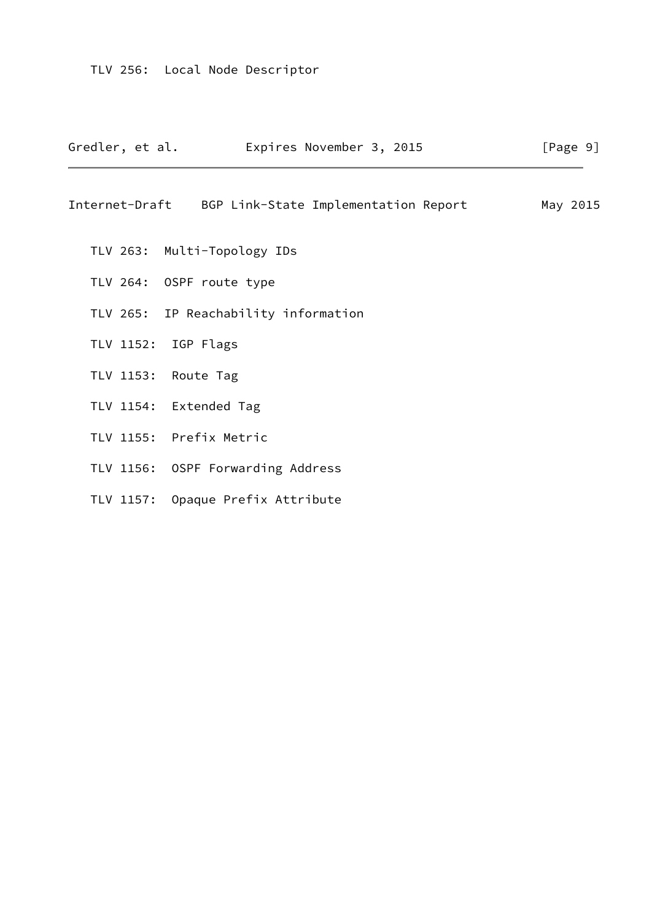TLV 256: Local Node Descriptor

| Gredler, et al. Expires November 3, 2015            | [Page 9] |
|-----------------------------------------------------|----------|
| Internet-Draft BGP Link-State Implementation Report | May 2015 |
| TLV 263: Multi-Topology IDs                         |          |
| TLV 264: OSPF route type                            |          |
| TLV 265: IP Reachability information                |          |
| TLV 1152: IGP Flags                                 |          |
| TLV 1153: Route Tag                                 |          |
| TLV 1154: Extended Tag                              |          |
| TLV 1155: Prefix Metric                             |          |
| TLV 1156: OSPF Forwarding Address                   |          |
| TLV 1157: Opaque Prefix Attribute                   |          |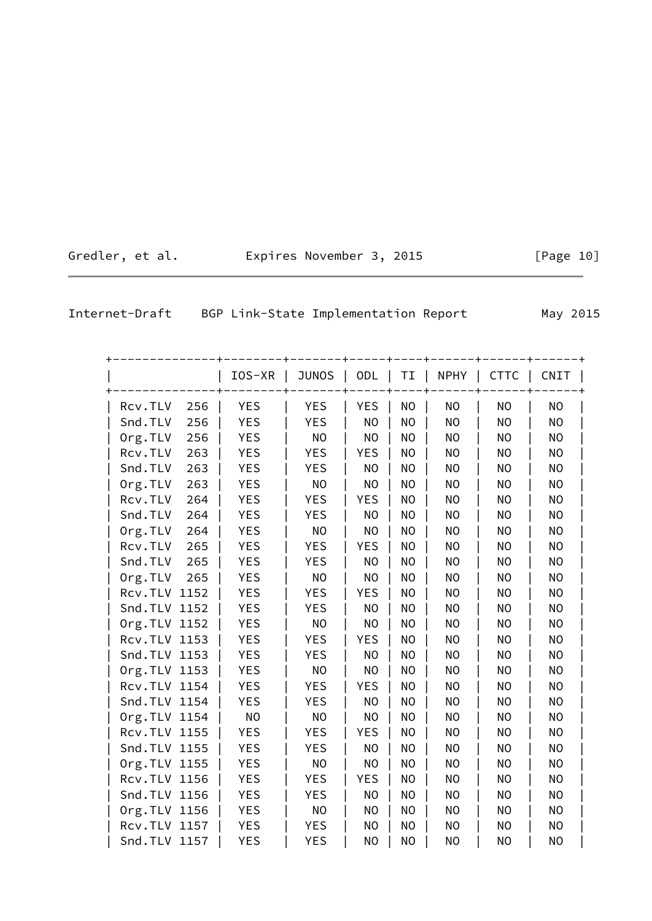| Gredler, et al. | Expires November 3, 2015 |
|-----------------|--------------------------|
|-----------------|--------------------------|

<span id="page-11-0"></span>Internet-Draft BGP Link-State Implementation Report May 2015

|              |     | IOS-XR     | <b>JUNOS</b> | <b>ODL</b>     | ΤI             | <b>NPHY</b>    | <b>CTTC</b>    | CNIT           |
|--------------|-----|------------|--------------|----------------|----------------|----------------|----------------|----------------|
| Rcv.TLV      | 256 | YES        | <b>YES</b>   | <b>YES</b>     | N <sub>O</sub> | NO             | NO             | NO             |
| Snd.TLV      | 256 | <b>YES</b> | <b>YES</b>   | <b>NO</b>      | <b>NO</b>      | <b>NO</b>      | <b>NO</b>      | <b>NO</b>      |
| Org.TLV      | 256 | <b>YES</b> | <b>NO</b>    | <b>NO</b>      | <b>NO</b>      | N <sub>O</sub> | <b>NO</b>      | <b>NO</b>      |
| Rcv.TLV      | 263 | <b>YES</b> | <b>YES</b>   | <b>YES</b>     | <b>NO</b>      | N <sub>O</sub> | <b>NO</b>      | <b>NO</b>      |
| Snd.TLV      | 263 | <b>YES</b> | <b>YES</b>   | <b>NO</b>      | N <sub>O</sub> | <b>NO</b>      | <b>NO</b>      | N <sub>O</sub> |
| Org.TLV      | 263 | <b>YES</b> | <b>NO</b>    | N <sub>O</sub> | N <sub>O</sub> | NO             | <b>NO</b>      | <b>NO</b>      |
| Rcv.TLV      | 264 | <b>YES</b> | <b>YES</b>   | <b>YES</b>     | <b>NO</b>      | NO             | <b>NO</b>      | <b>NO</b>      |
| Snd.TLV      | 264 | <b>YES</b> | <b>YES</b>   | <b>NO</b>      | N <sub>O</sub> | <b>NO</b>      | <b>NO</b>      | <b>NO</b>      |
| Org.TLV      | 264 | <b>YES</b> | <b>NO</b>    | <b>NO</b>      | <b>NO</b>      | <b>NO</b>      | <b>NO</b>      | <b>NO</b>      |
| Rcv.TLV      | 265 | <b>YES</b> | <b>YES</b>   | <b>YES</b>     | <b>NO</b>      | NO             | N <sub>O</sub> | <b>NO</b>      |
| Snd.TLV      | 265 | <b>YES</b> | <b>YES</b>   | <b>NO</b>      | <b>NO</b>      | N <sub>O</sub> | <b>NO</b>      | <b>NO</b>      |
| Org.TLV      | 265 | <b>YES</b> | <b>NO</b>    | <b>NO</b>      | <b>NO</b>      | <b>NO</b>      | N <sub>O</sub> | <b>NO</b>      |
| Rcv.TLV 1152 |     | <b>YES</b> | <b>YES</b>   | <b>YES</b>     | <b>NO</b>      | NO             | N <sub>O</sub> | <b>NO</b>      |
| Snd.TLV 1152 |     | <b>YES</b> | <b>YES</b>   | <b>NO</b>      | <b>NO</b>      | N <sub>O</sub> | <b>NO</b>      | <b>NO</b>      |
| Org.TLV 1152 |     | <b>YES</b> | <b>NO</b>    | <b>NO</b>      | <b>NO</b>      | N <sub>O</sub> | <b>NO</b>      | <b>NO</b>      |
| Rcv.TLV 1153 |     | <b>YES</b> | <b>YES</b>   | <b>YES</b>     | N <sub>O</sub> | NO             | N <sub>O</sub> | NO             |
| Snd.TLV 1153 |     | <b>YES</b> | <b>YES</b>   | <b>NO</b>      | <b>NO</b>      | NO             | N <sub>O</sub> | <b>NO</b>      |
| Org.TLV 1153 |     | <b>YES</b> | <b>NO</b>    | <b>NO</b>      | <b>NO</b>      | N <sub>O</sub> | <b>NO</b>      | <b>NO</b>      |
| Rcv.TLV 1154 |     | <b>YES</b> | <b>YES</b>   | <b>YES</b>     | <b>NO</b>      | <b>NO</b>      | <b>NO</b>      | <b>NO</b>      |
| Snd.TLV 1154 |     | <b>YES</b> | <b>YES</b>   | <b>NO</b>      | N <sub>O</sub> | NO             | <b>NO</b>      | <b>NO</b>      |
| Org.TLV 1154 |     | <b>NO</b>  | <b>NO</b>    | <b>NO</b>      | <b>NO</b>      | N <sub>O</sub> | <b>NO</b>      | <b>NO</b>      |
| Rcv.TLV 1155 |     | <b>YES</b> | <b>YES</b>   | <b>YES</b>     | <b>NO</b>      | N <sub>O</sub> | N <sub>O</sub> | <b>NO</b>      |
| Snd.TLV 1155 |     | <b>YES</b> | <b>YES</b>   | N <sub>O</sub> | <b>NO</b>      | NO             | N <sub>O</sub> | N <sub>O</sub> |
| Org.TLV 1155 |     | <b>YES</b> | <b>NO</b>    | <b>NO</b>      | <b>NO</b>      | <b>NO</b>      | <b>NO</b>      | <b>NO</b>      |
| Rcv.TLV 1156 |     | <b>YES</b> | <b>YES</b>   | <b>YES</b>     | <b>NO</b>      | <b>NO</b>      | <b>NO</b>      | <b>NO</b>      |
| Snd.TLV 1156 |     | <b>YES</b> | <b>YES</b>   | <b>NO</b>      | <b>NO</b>      | <b>NO</b>      | <b>NO</b>      | <b>NO</b>      |
| Org.TLV 1156 |     | <b>YES</b> | <b>NO</b>    | <b>NO</b>      | N <sub>O</sub> | NO             | N <sub>O</sub> | <b>NO</b>      |
| Rcv.TLV 1157 |     | <b>YES</b> | <b>YES</b>   | <b>NO</b>      | <b>NO</b>      | N <sub>O</sub> | N <sub>O</sub> | <b>NO</b>      |
| Snd.TLV 1157 |     | <b>YES</b> | <b>YES</b>   | <b>NO</b>      | <b>NO</b>      | <b>NO</b>      | <b>NO</b>      | <b>NO</b>      |

# $[Page 10]$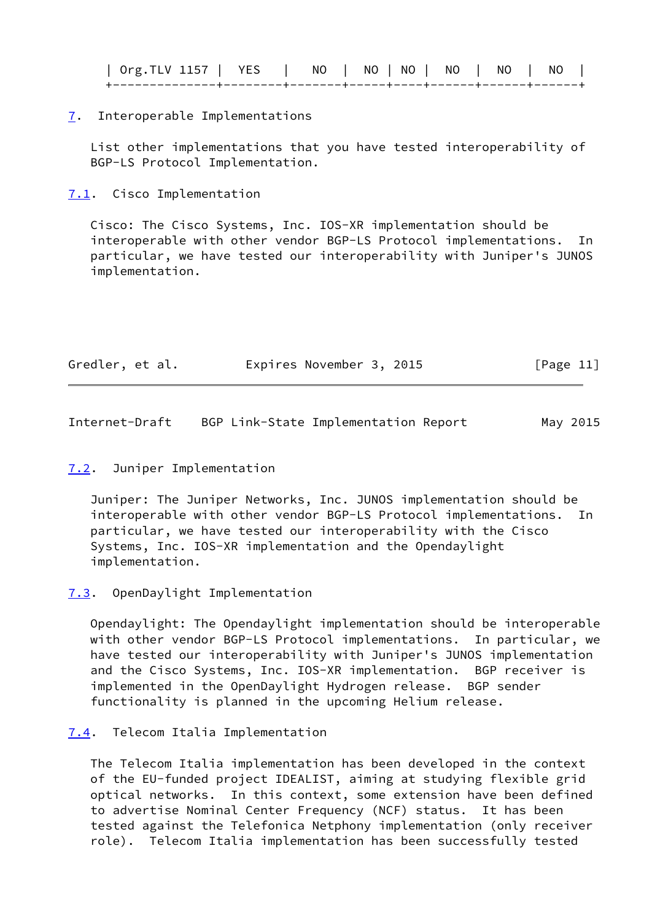| TIV 1157 L | YES | N0 | NO.<br>__ | NO.<br>__ | NΩ | -NO | ΝI |  |
|------------|-----|----|-----------|-----------|----|-----|----|--|
|            |     |    |           |           |    |     |    |  |

#### <span id="page-12-0"></span>[7](#page-12-0). Interoperable Implementations

 List other implementations that you have tested interoperability of BGP-LS Protocol Implementation.

<span id="page-12-1"></span>[7.1](#page-12-1). Cisco Implementation

 Cisco: The Cisco Systems, Inc. IOS-XR implementation should be interoperable with other vendor BGP-LS Protocol implementations. In particular, we have tested our interoperability with Juniper's JUNOS implementation.

| Gredler, et al. | Expires November 3, 2015 |  | [Page 11] |
|-----------------|--------------------------|--|-----------|
|-----------------|--------------------------|--|-----------|

<span id="page-12-3"></span>Internet-Draft BGP Link-State Implementation Report May 2015

#### <span id="page-12-2"></span>[7.2](#page-12-2). Juniper Implementation

 Juniper: The Juniper Networks, Inc. JUNOS implementation should be interoperable with other vendor BGP-LS Protocol implementations. In particular, we have tested our interoperability with the Cisco Systems, Inc. IOS-XR implementation and the Opendaylight implementation.

#### <span id="page-12-4"></span>[7.3](#page-12-4). OpenDaylight Implementation

 Opendaylight: The Opendaylight implementation should be interoperable with other vendor BGP-LS Protocol implementations. In particular, we have tested our interoperability with Juniper's JUNOS implementation and the Cisco Systems, Inc. IOS-XR implementation. BGP receiver is implemented in the OpenDaylight Hydrogen release. BGP sender functionality is planned in the upcoming Helium release.

#### <span id="page-12-5"></span>[7.4](#page-12-5). Telecom Italia Implementation

 The Telecom Italia implementation has been developed in the context of the EU-funded project IDEALIST, aiming at studying flexible grid optical networks. In this context, some extension have been defined to advertise Nominal Center Frequency (NCF) status. It has been tested against the Telefonica Netphony implementation (only receiver role). Telecom Italia implementation has been successfully tested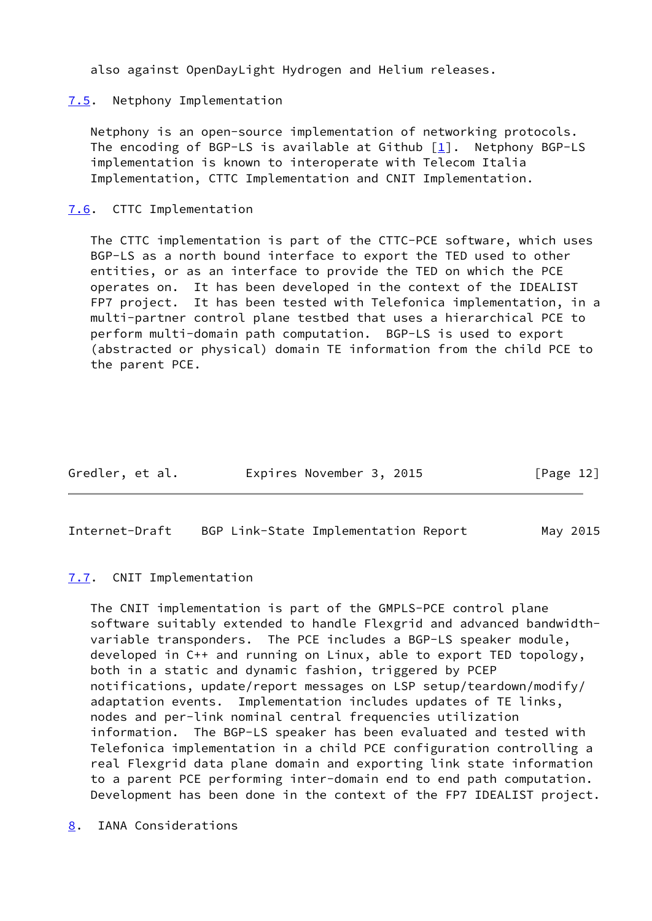also against OpenDayLight Hydrogen and Helium releases.

#### <span id="page-13-0"></span>[7.5](#page-13-0). Netphony Implementation

 Netphony is an open-source implementation of networking protocols. The encoding of BGP-LS is available at Github [[1\]](#page-14-7). Netphony BGP-LS implementation is known to interoperate with Telecom Italia Implementation, CTTC Implementation and CNIT Implementation.

#### <span id="page-13-1"></span>[7.6](#page-13-1). CTTC Implementation

 The CTTC implementation is part of the CTTC-PCE software, which uses BGP-LS as a north bound interface to export the TED used to other entities, or as an interface to provide the TED on which the PCE operates on. It has been developed in the context of the IDEALIST FP7 project. It has been tested with Telefonica implementation, in a multi-partner control plane testbed that uses a hierarchical PCE to perform multi-domain path computation. BGP-LS is used to export (abstracted or physical) domain TE information from the child PCE to the parent PCE.

| Gredler, et al. | Expires November 3, 2015 |  | [Page 12] |
|-----------------|--------------------------|--|-----------|
|-----------------|--------------------------|--|-----------|

<span id="page-13-3"></span>Internet-Draft BGP Link-State Implementation Report May 2015

#### <span id="page-13-2"></span>[7.7](#page-13-2). CNIT Implementation

 The CNIT implementation is part of the GMPLS-PCE control plane software suitably extended to handle Flexgrid and advanced bandwidth variable transponders. The PCE includes a BGP-LS speaker module, developed in C++ and running on Linux, able to export TED topology, both in a static and dynamic fashion, triggered by PCEP notifications, update/report messages on LSP setup/teardown/modify/ adaptation events. Implementation includes updates of TE links, nodes and per-link nominal central frequencies utilization information. The BGP-LS speaker has been evaluated and tested with Telefonica implementation in a child PCE configuration controlling a real Flexgrid data plane domain and exporting link state information to a parent PCE performing inter-domain end to end path computation. Development has been done in the context of the FP7 IDEALIST project.

<span id="page-13-4"></span>[8](#page-13-4). IANA Considerations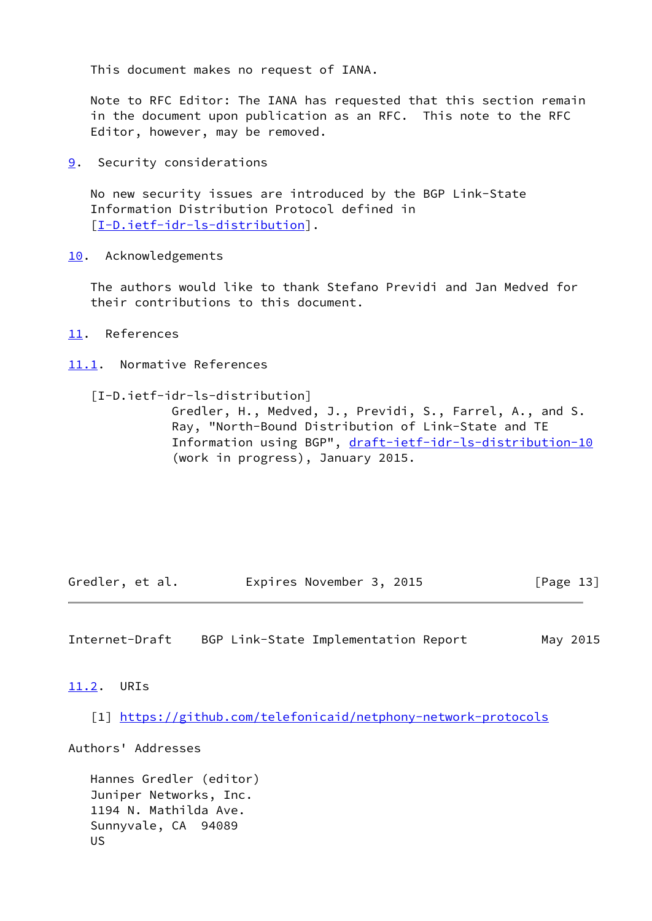This document makes no request of IANA.

 Note to RFC Editor: The IANA has requested that this section remain in the document upon publication as an RFC. This note to the RFC Editor, however, may be removed.

<span id="page-14-0"></span>[9](#page-14-0). Security considerations

 No new security issues are introduced by the BGP Link-State Information Distribution Protocol defined in [\[I-D.ietf-idr-ls-distribution](#page-14-6)].

#### <span id="page-14-1"></span>[10.](#page-14-1) Acknowledgements

 The authors would like to thank Stefano Previdi and Jan Medved for their contributions to this document.

- <span id="page-14-2"></span>[11.](#page-14-2) References
- <span id="page-14-3"></span>[11.1](#page-14-3). Normative References

#### <span id="page-14-6"></span>[I-D.ietf-idr-ls-distribution]

 Gredler, H., Medved, J., Previdi, S., Farrel, A., and S. Ray, "North-Bound Distribution of Link-State and TE Information using BGP", [draft-ietf-idr-ls-distribution-10](https://datatracker.ietf.org/doc/pdf/draft-ietf-idr-ls-distribution-10) (work in progress), January 2015.

Gredler, et al. Expires November 3, 2015 [Page 13]

<span id="page-14-5"></span>Internet-Draft BGP Link-State Implementation Report May 2015

### <span id="page-14-4"></span>[11.2](#page-14-4). URIs

<span id="page-14-7"></span>[1] <https://github.com/telefonicaid/netphony-network-protocols>

Authors' Addresses

 Hannes Gredler (editor) Juniper Networks, Inc. 1194 N. Mathilda Ave. Sunnyvale, CA 94089 US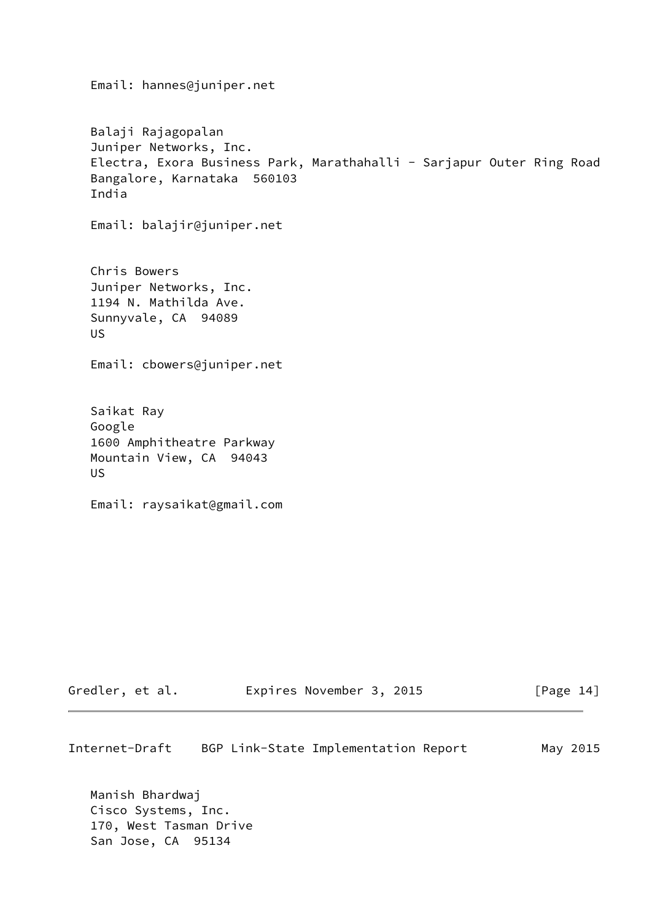Email: hannes@juniper.net

 Balaji Rajagopalan Juniper Networks, Inc. Electra, Exora Business Park, Marathahalli - Sarjapur Outer Ring Road Bangalore, Karnataka 560103 India Email: balajir@juniper.net Chris Bowers Juniper Networks, Inc. 1194 N. Mathilda Ave. Sunnyvale, CA 94089 US Email: cbowers@juniper.net Saikat Ray Google 1600 Amphitheatre Parkway Mountain View, CA 94043 US Email: raysaikat@gmail.com

| Gredler, et al. | Expires November 3, 2015 | [Page 14] |
|-----------------|--------------------------|-----------|
|                 |                          |           |

Internet-Draft BGP Link-State Implementation Report May 2015

 Manish Bhardwaj Cisco Systems, Inc. 170, West Tasman Drive San Jose, CA 95134